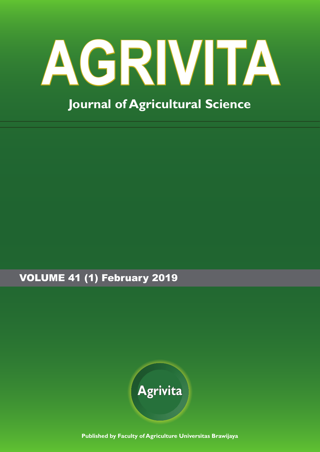# **AGRIVITA Journal of Agricultural Science**

VOLUME 41 (1) February 2019



**Published by Faculty of Agriculture Universitas Brawijaya**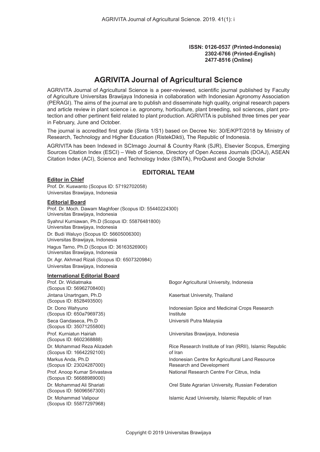#### **ISSN: 0126-0537 (Printed-Indonesia) 2302-6766 (Printed-English) 2477-8516 (Online)**

# **AGRIVITA Journal of Agricultural Science**

AGRIVITA Journal of Agricultural Science is a peer-reviewed, scientific journal published by Faculty of Agriculture Universitas Brawijaya Indonesia in collaboration with Indonesian Agronomy Association (PERAGI). The aims of the journal are to publish and disseminate high quality, original research papers and article review in plant science i.e. agronomy, horticulture, plant breeding, soil sciences, plant protection and other pertinent field related to plant production. AGRIVITA is published three times per year in February, June and October.

The journal is accredited first grade (Sinta 1/S1) based on Decree No: 30/E/KPT/2018 by Ministry of Research, Technology and Higher Education (RistekDikti), The Republic of Indonesia.

AGRIVITA has been Indexed in SCImago Journal & Country Rank (SJR), Elsevier Scopus, Emerging Sources Citation Index (ESCI) – Web of Science, Directory of Open Access Journals (DOAJ), ASEAN Citation Index (ACI), Science and Technology Index (SINTA), ProQuest and Google Scholar

## **EDITORIAL TEAM**

#### **Editor in Chief**

Prof. Dr. Kuswanto (Scopus ID: 57192702058) Universitas Brawijaya, Indonesia

#### **Editorial Board**

Prof. Dr. Moch. Dawam Maghfoer (Scopus ID: 55440224300) Universitas Brawijaya, Indonesia Syahrul Kurniawan, Ph.D (Scopus ID: 55876481800) Universitas Brawijaya, Indonesia Dr. Budi Waluyo (Scopus ID: 56605006300) Universitas Brawijaya, Indonesia Hagus Tarno, Ph.D (Scopus ID: 36163526900) Universitas Brawijaya, Indonesia Dr. Agr. Akhmad Rizali (Scopus ID: 6507320984) Universitas Brawijaya, Indonesia

#### **International Editorial Board**

Prof. Dr. Widiatmaka (Scopus ID: 56962708400) Bogor Agricultural University, Indonesia Jintana Unartngam, Ph.D (Scopus ID: 8528493500) Kasertsat University, Thailand Dr. Dono Wahyuno (Scopus ID: 650a7969735) Indonesian Spice and Medicinal Crops Research Institute Seca Gandaseca, Ph.D (Scopus ID: 35071255800) Universiti Putra Malaysia Prof. Kurniatun Hairiah (Scopus ID: 6602368888) Universitas Brawijaya, Indonesia Dr. Mohammad Reza Alizadeh (Scopus ID: 16642292100) Rice Research Institute of Iran (RRII), Islamic Republic of Iran Markus Anda, Ph.D (Scopus ID: 23024287000) Indonesian Centre for Agricultural Land Resource Research and Development Prof. Anoop Kumar Srivastava (Scopus ID: 56688989000) National Research Centre For Citrus, India Dr. Mohammad Ali Shariati (Scopus ID: 56096567300) Orel State Agrarian University, Russian Federation Dr. Mohammad Valipour (Scopus ID: 55877297968) Islamic Azad University, Islamic Republic of Iran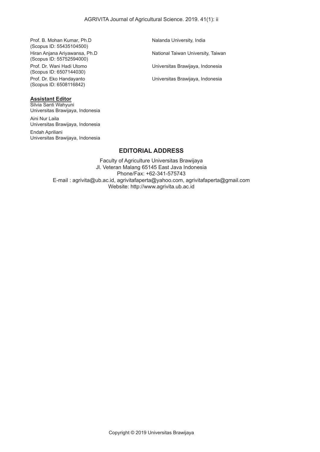Prof. B. Mohan Kumar, Ph.D (Scopus ID: 55435104500)

Hiran Anjana Ariyawansa, Ph.D (Scopus ID: 55752594000) Prof. Dr. Wani Hadi Utomo (Scopus ID: 6507144030) Prof. Dr. Eko Handayanto (Scopus ID: 6508116842)

#### **Assistant Editor**

Silvia Santi Wahyuni Universitas Brawijaya, Indonesia

Aini Nur Laila Universitas Brawijaya, Indonesia

Endah Apriliani Universitas Brawijaya, Indonesia Nalanda University, India

National Taiwan University, Taiwan

Universitas Brawijaya, Indonesia

Universitas Brawijaya, Indonesia

#### **EDITORIAL ADDRESS**

Faculty of Agriculture Universitas Brawijaya Jl. Veteran Malang 65145 East Java Indonesia Phone/Fax: +62-341-575743 E-mail : agrivita@ub.ac.id, agrivitafaperta@yahoo.com, agrivitafaperta@gmail.com Website: http://www.agrivita.ub.ac.id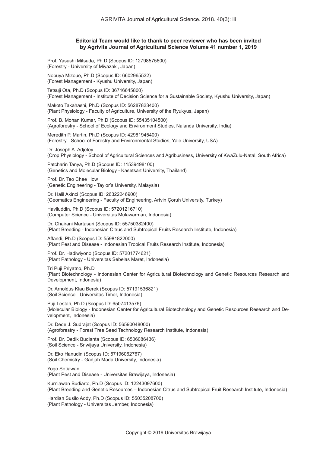#### **Editorial Team would like to thank to peer reviewer who has been invited by Agrivita Journal of Agricultural Science Volume 41 number 1, 2019**

Prof. Yasushi Mitsuda, Ph.D (Scopus ID: 12798575600) (Forestry - University of Miyazaki, Japan)

Nobuya Mizoue, Ph.D (Scopus ID: 6602965532) (Forest Management - Kyushu University, Japan)

Tetsuji Ota, Ph.D (Scopus ID: 36716645800) (Forest Management - Institute of Decision Science for a Sustainable Society, Kyushu University, Japan)

Makoto Takahashi, Ph.D (Scopus ID: 56287823400) (Plant Physiology - Faculty of Agriculture, University of the Ryukyus, Japan)

Prof. B. Mohan Kumar, Ph.D (Scopus ID: 55435104500) (Agroforestry - School of Ecology and Environment Studies, Nalanda University, India)

Meredith P. Martin, Ph.D (Scopus ID: 42961945400) (Forestry - School of Forestry and Environmental Studies, Yale University, USA)

Dr. Joseph A. Adjetey (Crop Physiology - School of Agricultural Sciences and Agribusiness, University of KwaZulu-Natal, South Africa)

Patcharin Tanya, Ph.D (Scopus ID: 11539498100) (Genetics and Molecular Biology - Kasetsart University, Thailand)

Prof. Dr. Teo Chee How (Genetic Engineering - Taylor's University, Malaysia)

Dr. Halil Akinci (Scopus ID: 26322246900) (Geomatics Engineering - Faculty of Engineering, Artvin Çoruh University, Turkey)

Haviluddin, Ph.D (Scopus ID: 57201216710) (Computer Science - Universitas Mulawarman, Indonesia)

Dr. Chairani Martasari (Scopus ID: 55750382400) (Plant Breeding - Indonesian Citrus and Subtropical Fruits Research Institute, Indonesia)

Affandi, Ph.D (Scopus ID: 55981822000) (Plant Pest and Disease - Indonesian Tropical Fruits Research Institute, Indonesia)

Prof. Dr. Hadiwiyono (Scopus ID: 57201774621) (Plant Pathology - Universitas Sebelas Maret, Indonesia)

Tri Puji Priyatno, Ph.D (Plant Biotechnology - Indonesian Center for Agricultural Biotechnology and Genetic Resources Research and Development, Indonesia)

Dr. Arnoldus Klau Berek (Scopus ID: 57191536821) (Soil Science - Universitas Timor, Indonesia)

Puji Lestari, Ph.D (Scopus ID: 6507413576) (Molecular Biology - Indonesian Center for Agricultural Biotechnology and Genetic Resources Research and Development, Indonesia)

Dr. Dede J. Sudrajat (Scopus ID: 56590048000) (Agroforestry - Forest Tree Seed Technology Research Institute, Indonesia)

Prof. Dr. Dedik Budianta (Scopus ID: 6506086436) (Soil Science - Sriwijaya University, Indonesia)

Dr. Eko Hanudin (Scopus ID: 57196062767) (Soil Chemistry - Gadjah Mada University, Indonesia)

Yogo Setiawan (Plant Pest and Disease - Universitas Brawijaya, Indonesia)

Kurniawan Budiarto, Ph.D (Scopus ID: 12243097600) (Plant Breeding and Genetic Resources – Indonesian Citrus and Subtropical Fruit Research Institute, Indonesia)

Hardian Susilo Addy, Ph.D (Scopus ID: 55035208700) (Plant Pathology - Universitas Jember, Indonesia)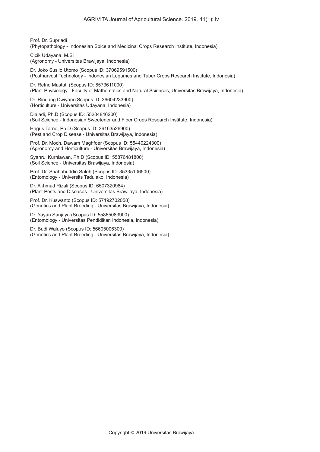Prof. Dr. Supriadi (Phytopathology - Indonesian Spice and Medicinal Crops Research Institute, Indonesia)

Cicik Udayana, M.Si (Agronomy - Universitas Brawijaya, Indonesia)

Dr. Joko Susilo Utomo (Scopus ID: 37069591500) (Postharvest Technology - Indonesian Legumes and Tuber Crops Research Institute, Indonesia)

Dr. Retno Mastuti (Scopus ID: 8573611000) (Plant Physiology - Faculty of Mathematics and Natural Sciences, Universitas Brawijaya, Indonesia)

Dr. Rindang Dwiyani (Scopus ID: 36604233900) (Horticulture - Universitas Udayana, Indonesia)

Djajadi, Ph.D (Scopus ID: 55204846200) (Soil Science - Indonesian Sweetener and Fiber Crops Research Institute, Indonesia)

Hagus Tarno, Ph.D (Scopus ID: 36163526900) (Pest and Crop Disease - Universitas Brawijaya, Indonesia)

Prof. Dr. Moch. Dawam Maghfoer (Scopus ID: 55440224300) (Agronomy and Horticulture - Universitas Brawijaya, Indonesia)

Syahrul Kurniawan, Ph.D (Scopus ID: 55876481800) (Soil Science - Universitas Brawijaya, Indonesia)

Prof. Dr. Shahabuddin Saleh (Scopus ID: 35335106500) (Entomology - Universits Tadulako, Indonesia)

Dr. Akhmad Rizali (Scopus ID: 6507320984) (Plant Pests and Diseases - Universitas Brawijaya, Indonesia)

Prof. Dr. Kuswanto (Scopus ID: 57192702058) (Genetics and Plant Breeding - Universitas Brawijaya, Indonesia)

Dr. Yayan Sanjaya (Scopus ID: 55865083900) (Entomology - Universitas Pendidikan Indonesia, Indonesia)

Dr. Budi Waluyo (Scopus ID: 56605006300) (Genetics and Plant Breeding - Universitas Brawijaya, Indonesia)